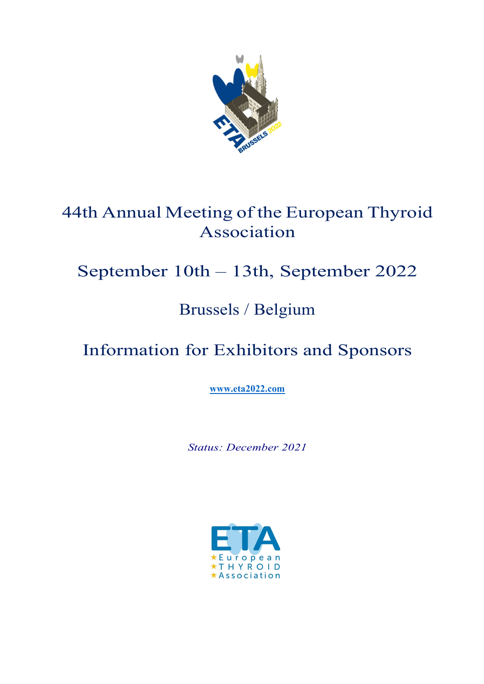

# 44th Annual Meeting of the European Thyroid Association

# September 10th – 13th, September 2022

# Brussels / Belgium

# Information for Exhibitors and Sponsors

www.eta2022.com

Status: December 2021

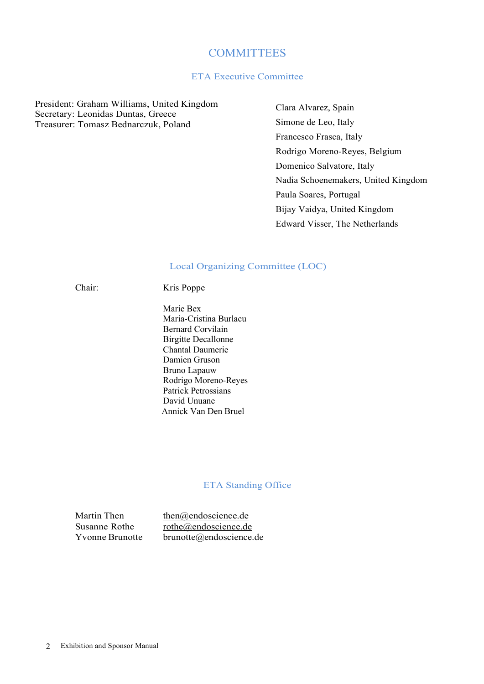### **COMMITTEES**

#### ETA Executive Committee

President: Graham Williams, United Kingdom Secretary: Leonidas Duntas, Greece Treasurer: Tomasz Bednarczuk, Poland

Clara Alvarez, Spain Simone de Leo, Italy Francesco Frasca, Italy Rodrigo Moreno-Reyes, Belgium Domenico Salvatore, Italy Nadia Schoenemakers, United Kingdom Paula Soares, Portugal Bijay Vaidya, United Kingdom Edward Visser, The Netherlands

#### Local Organizing Committee (LOC)

Chair: Kris Poppe

 Marie Bex Maria-Cristina Burlacu Bernard Corvilain Birgitte Decallonne Chantal Daumerie Damien Gruson Bruno Lapauw Rodrigo Moreno-Reyes Patrick Petrossians David Unuane Annick Van Den Bruel

#### ETA Standing Office

Martin Then then@endoscience.de Susanne Rothe rothe@endoscience.de Yvonne Brunotte brunotte@endoscience.de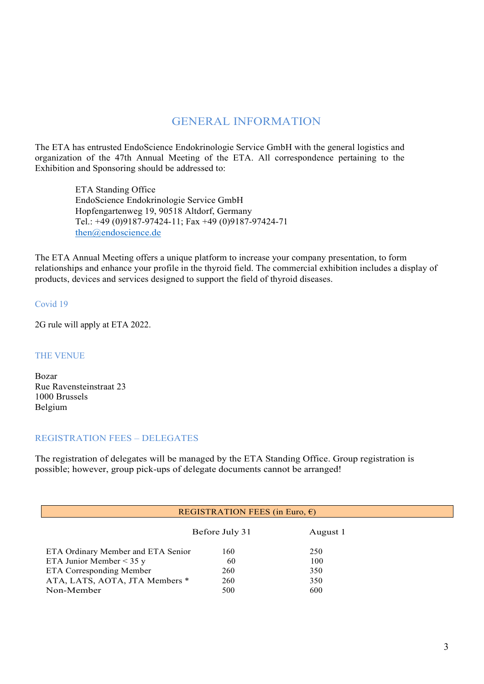## GENERAL INFORMATION

The ETA has entrusted EndoScience Endokrinologie Service GmbH with the general logistics and organization of the 47th Annual Meeting of the ETA. All correspondence pertaining to the Exhibition and Sponsoring should be addressed to:

> ETA Standing Office EndoScience Endokrinologie Service GmbH Hopfengartenweg 19, 90518 Altdorf, Germany Tel.: +49 (0)9187-97424-11; Fax +49 (0)9187-97424-71 then@endoscience.de

The ETA Annual Meeting offers a unique platform to increase your company presentation, to form relationships and enhance your profile in the thyroid field. The commercial exhibition includes a display of products, devices and services designed to support the field of thyroid diseases.

Covid 19

2G rule will apply at ETA 2022.

#### THE VENUE

Bozar Rue Ravensteinstraat 23 1000 Brussels Belgium

#### REGISTRATION FEES – DELEGATES

The registration of delegates will be managed by the ETA Standing Office. Group registration is possible; however, group pick-ups of delegate documents cannot be arranged!

|                                    | REGISTRATION FEES (in Euro, $\epsilon$ ) |          |  |
|------------------------------------|------------------------------------------|----------|--|
|                                    | Before July 31                           | August 1 |  |
| ETA Ordinary Member and ETA Senior | 160                                      | 250      |  |
| ETA Junior Member $<$ 35 y         | 60                                       | 100      |  |
| ETA Corresponding Member           | 260                                      | 350      |  |
| ATA, LATS, AOTA, JTA Members *     | 260                                      | 350      |  |
| Non-Member                         | 500                                      | 600      |  |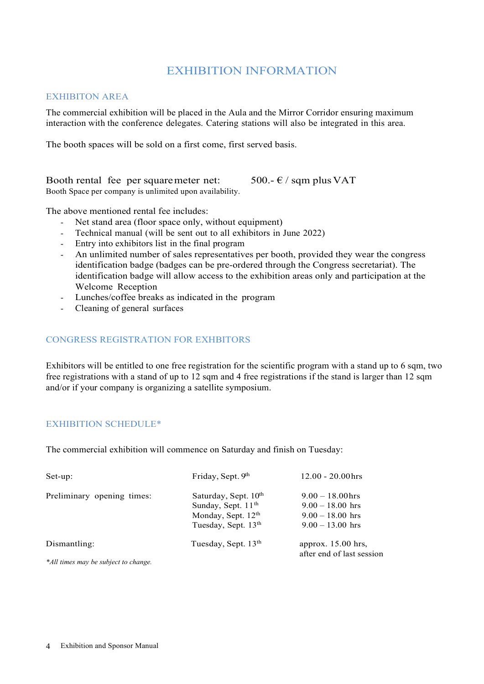### EXHIBITION INFORMATION

#### EXHIBITON AREA

The commercial exhibition will be placed in the Aula and the Mirror Corridor ensuring maximum interaction with the conference delegates. Catering stations will also be integrated in this area.

The booth spaces will be sold on a first come, first served basis.

Booth rental fee per square meter net:  $500 - \epsilon / \text{sgm plus VAT}$ Booth Space per company is unlimited upon availability.

The above mentioned rental fee includes:

- Net stand area (floor space only, without equipment)
- Technical manual (will be sent out to all exhibitors in June 2022)
- Entry into exhibitors list in the final program
- An unlimited number of sales representatives per booth, provided they wear the congress identification badge (badges can be pre-ordered through the Congress secretariat). The identification badge will allow access to the exhibition areas only and participation at the Welcome Reception
- Lunches/coffee breaks as indicated in the program
- Cleaning of general surfaces

#### CONGRESS REGISTRATION FOR EXHBITORS

Exhibitors will be entitled to one free registration for the scientific program with a stand up to 6 sqm, two free registrations with a stand of up to 12 sqm and 4 free registrations if the stand is larger than 12 sqm and/or if your company is organizing a satellite symposium.

#### EXHIBITION SCHEDULE\*

The commercial exhibition will commence on Saturday and finish on Tuesday:

| Set-up:                              | Friday, Sept. 9th                                                                                                             | $12.00 - 20.00$ hrs                                                                  |  |
|--------------------------------------|-------------------------------------------------------------------------------------------------------------------------------|--------------------------------------------------------------------------------------|--|
| Preliminary opening times:           | Saturday, Sept. 10 <sup>th</sup><br>Sunday, Sept. 11 <sup>th</sup><br>Monday, Sept. $12th$<br>Tuesday, Sept. 13 <sup>th</sup> | $9.00 - 18.00$ hrs<br>$9.00 - 18.00$ hrs<br>$9.00 - 18.00$ hrs<br>$9.00 - 13.00$ hrs |  |
| Dismantling:                         | Tuesday, Sept. 13 <sup>th</sup>                                                                                               | approx. $15.00$ hrs,<br>after end of last session                                    |  |
| *All times may be subject to change. |                                                                                                                               |                                                                                      |  |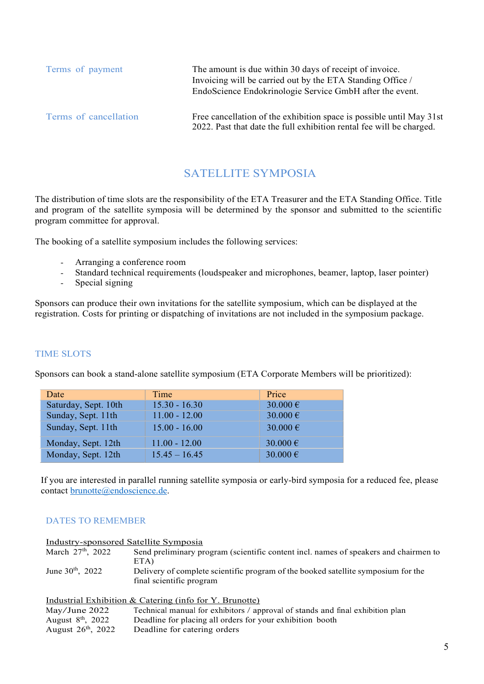| Terms of payment      | The amount is due within 30 days of receipt of invoice.<br>Invoicing will be carried out by the ETA Standing Office /<br>EndoScience Endokrinologie Service GmbH after the event. |
|-----------------------|-----------------------------------------------------------------------------------------------------------------------------------------------------------------------------------|
| Terms of cancellation | Free cancellation of the exhibition space is possible until May 31st<br>2022. Past that date the full exhibition rental fee will be charged.                                      |

### SATELLITE SYMPOSIA

The distribution of time slots are the responsibility of the ETA Treasurer and the ETA Standing Office. Title and program of the satellite symposia will be determined by the sponsor and submitted to the scientific program committee for approval.

- 
- The booking of a satellite symposium includes the following services:<br>- Arranging a conference room<br>- Standard technical requirements (loudspeaker and microphones, beamer, laptop, laser pointer)<br>- Special signing
	-

Sponsors can produce their own invitations for the satellite symposium, which can be displayed at the registration. Costs for printing or dispatching of invitations are not included in the symposium package.

#### TIME SLOTS

Sponsors can book a stand-alone satellite symposium (ETA Corporate Members will be prioritized):

| Date                 | Time            | Price             |
|----------------------|-----------------|-------------------|
| Saturday, Sept. 10th | $15.30 - 16.30$ | 30.000 €          |
| Sunday, Sept. 11th   | $11.00 - 12.00$ | 30.000 €          |
| Sunday, Sept. 11th   | $15.00 - 16.00$ | 30.000 $\epsilon$ |
| Monday, Sept. 12th   | $11.00 - 12.00$ | 30.000 €          |
| Monday, Sept. 12th   | $15.45 - 16.45$ | 30.000 $\epsilon$ |

If you are interested in parallel running satellite symposia or early-bird symposia for a reduced fee, please contact brunotte@endoscience.de.

### DATES TO REMEMBER

Industry-sponsored Satellite Symposia

| March $27th$ , 2022     | Send preliminary program (scientific content incl. names of speakers and chairmen to |
|-------------------------|--------------------------------------------------------------------------------------|
|                         | ETA)                                                                                 |
| June $30^{th}$ , $2022$ | Delivery of complete scientific program of the booked satellite symposium for the    |
|                         | final scientific program                                                             |

|                         | Industrial Exhibition $\&$ Catering (info for Y. Brunotte)                     |
|-------------------------|--------------------------------------------------------------------------------|
| May/June $2022$         | Technical manual for exhibitors / approval of stands and final exhibition plan |
| August $8th$ , 2022     | Deadline for placing all orders for your exhibition booth                      |
| August $26^{th}$ , 2022 | Deadline for catering orders                                                   |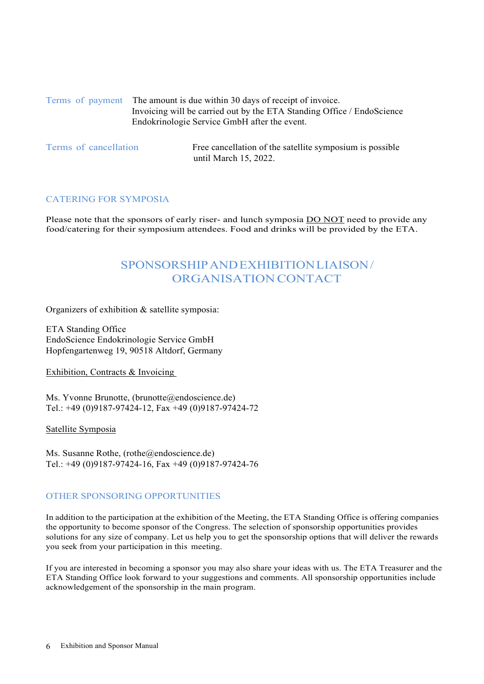| Terms of payment The amount is due within 30 days of receipt of invoice. |
|--------------------------------------------------------------------------|
| Invoicing will be carried out by the ETA Standing Office / EndoScience   |
| Endokrinologie Service GmbH after the event.                             |

Terms of cancellation Free cancellation of the satellite symposium is possible until March 15, 2022.

#### CATERING FOR SYMPOSIA

Please note that the sponsors of early riser- and lunch symposia **DO NOT** need to provide any food/catering for their symposium attendees. Food and drinks will be provided by the ETA.

# SPONSORSHIP AND EXHIBITION LIAISON / ORGANISATION CONTACT

Organizers of exhibition & satellite symposia:

ETA Standing Office EndoScience Endokrinologie Service GmbH Hopfengartenweg 19, 90518 Altdorf, Germany

Exhibition, Contracts & Invoicing

Ms. Yvonne Brunotte, (brunotte@endoscience.de) Tel.: +49 (0)9187-97424-12, Fax +49 (0)9187-97424-72

Satellite Symposia

Ms. Susanne Rothe, (rothe@endoscience.de) Tel.: +49 (0)9187-97424-16, Fax +49 (0)9187-97424-76

#### OTHER SPONSORING OPPORTUNITIES

In addition to the participation at the exhibition of the Meeting, the ETA Standing Office is offering companies the opportunity to become sponsor of the Congress. The selection of sponsorship opportunities provides solutions for any size of company. Let us help you to get the sponsorship options that will deliver the rewards you seek from your participation in this meeting.

If you are interested in becoming a sponsor you may also share your ideas with us. The ETA Treasurer and the ETA Standing Office look forward to your suggestions and comments. All sponsorship opportunities include acknowledgement of the sponsorship in the main program.